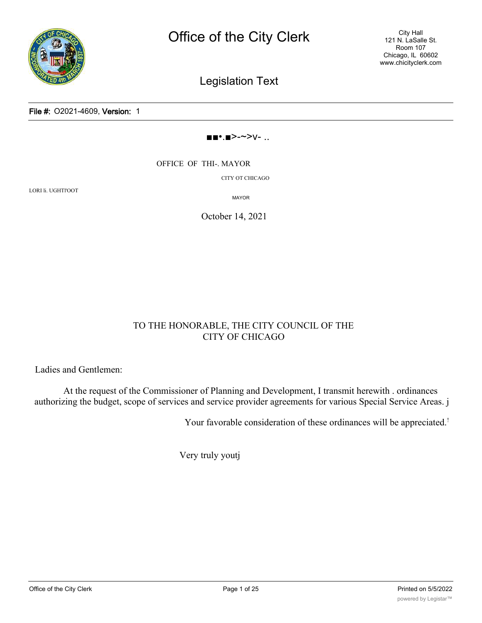

City Hall 121 N. LaSalle St. Room 107 Chicago, IL 60602 www.chicityclerk.com

Legislation Text

File #: O2021-4609, Version: 1

#### ■■•.■>-~>v- ..

OFFICE OF THI-. MAYOR

CITY OT CHICAGO

LORI li. UGHTl'OOT

MAYOR

October 14, 2021

#### TO THE HONORABLE, THE CITY COUNCIL OF THE CITY OF CHICAGO

Ladies and Gentlemen:

At the request of the Commissioner of Planning and Development, I transmit herewith . ordinances authorizing the budget, scope of services and service provider agreements for various Special Service Areas. j

Your favorable consideration of these ordinances will be appreciated.<sup>!</sup>

Very truly youtj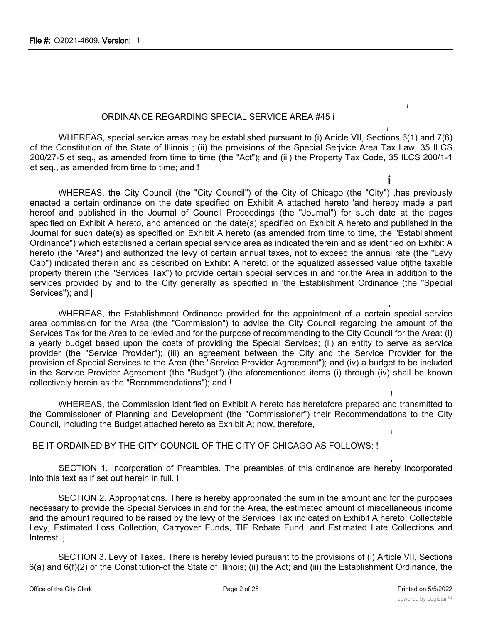#### ORDINANCE REGARDING SPECIAL SERVICE AREA #45 i

i WHEREAS, special service areas may be established pursuant to (i) Article VII, Sections 6(1) and 7(6) of the Constitution of the State of Illinois ; (ii) the provisions of the Special Serjvice Area Tax Law, 35 ILCS 200/27-5 et seq., as amended from time to time (the "Act"); and (iii) the Property Tax Code, 35 ILCS 200/1-1 et seq., as amended from time to time; and !

**i** WHEREAS, the City Council (the "City Council") of the City of Chicago (the "City") ,has previously enacted a certain ordinance on the date specified on Exhibit A attached hereto 'and hereby made a part hereof and published in the Journal of Council Proceedings (the "Journal") for such date at the pages specified on Exhibit A hereto, and amended on the date(s) specified on Exhibit A hereto and published in the Journal for such date(s) as specified on Exhibit A hereto (as amended from time to time, the "Establishment Ordinance") which established a certain special service area as indicated therein and as identified on Exhibit A hereto (the "Area") and authorized the levy of certain annual taxes, not to exceed the annual rate (the "Levy Cap") indicated therein and as described on Exhibit A hereto, of the equalized assessed value ofjthe taxable property therein (the "Services Tax") to provide certain special services in and for.the Area in addition to the services provided by and to the City generally as specified in 'the Establishment Ordinance (the "Special Services"); and  $\vert$ 

i WHEREAS, the Establishment Ordinance provided for the appointment of a certain special service area commission for the Area (the "Commission") to advise the City Council regarding the amount of the Services Tax for the Area to be levied and for the purpose of recommending to the City Council for the Area: (i) a yearly budget based upon the costs of providing the Special Services; (ii) an entity to serve as service provider (the "Service Provider"); (iii) an agreement between the City and the Service Provider for the provision of Special Services to the Area (the "Service Provider Agreement"); and (iv) a budget to be included in the Service Provider Agreement (the "Budget") (the aforementioned items (i) through (iv) shall be known collectively herein as the "Recommendations"); and !

! WHEREAS, the Commission identified on Exhibit A hereto has heretofore prepared and transmitted to the Commissioner of Planning and Development (the "Commissioner") their Recommendations to the City Council, including the Budget attached hereto as Exhibit A; now, therefore,

BE IT ORDAINED BY THE CITY COUNCIL OF THE CITY OF CHICAGO AS FOLLOWS: !

i SECTION 1. Incorporation of Preambles. The preambles of this ordinance are hereby incorporated into this text as if set out herein in full. I

SECTION 2. Appropriations. There is hereby appropriated the sum in the amount and for the purposes necessary to provide the Special Services in and for the Area, the estimated amount of miscellaneous income and the amount required to be raised by the levy of the Services Tax indicated on Exhibit A hereto: Collectable Levy, Estimated Loss Collection, Carryover Funds, TIF Rebate Fund, and Estimated Late Collections and Interest. j

SECTION 3. Levy of Taxes. There is hereby levied pursuant to the provisions of (i) Article VII, Sections 6(a) and 6(f)(2) of the Constitution-of the State of Illinois; (ii) the Act; and (iii) the Establishment Ordinance, the

i

i i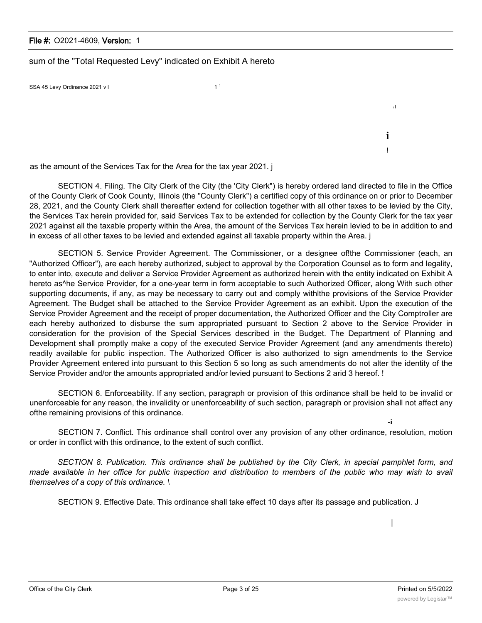#### File #: O2021-4609, Version: 1

sum of the "Total Requested Levy" indicated on Exhibit A hereto

SSA 45 Levy Ordinance  $2021 \text{ v}$  1

as the amount of the Services Tax for the Area for the tax year 2021. j

SECTION 4. Filing. The City Clerk of the City (the 'City Clerk") is hereby ordered land directed to file in the Office of the County Clerk of Cook County, Illinois (the "County Clerk") a certified copy of this ordinance on or prior to December 28, 2021, and the County Clerk shall thereafter extend for collection together with all other taxes to be levied by the City, the Services Tax herein provided for, said Services Tax to be extended for collection by the County Clerk for the tax year 2021 against all the taxable property within the Area, the amount of the Services Tax herein levied to be in addition to and in excess of all other taxes to be levied and extended against all taxable property within the Area. j

SECTION 5. Service Provider Agreement. The Commissioner, or a designee of!the Commissioner (each, an "Authorized Officer"), are each hereby authorized, subject to approval by the Corporation Counsel as to form and legality, to enter into, execute and deliver a Service Provider Agreement as authorized herein with the entity indicated on Exhibit A hereto as<sup>^</sup>he Service Provider, for a one-year term in form acceptable to such Authorized Officer, along With such other supporting documents, if any, as may be necessary to carry out and comply withlthe provisions of the Service Provider Agreement. The Budget shall be attached to the Service Provider Agreement as an exhibit. Upon the execution of the Service Provider Agreement and the receipt of proper documentation, the Authorized Officer and the City Comptroller are each hereby authorized to disburse the sum appropriated pursuant to Section 2 above to the Service Provider in consideration for the provision of the Special Services described in the Budget. The Department of Planning and Development shall promptly make a copy of the executed Service Provider Agreement (and any amendments thereto) readily available for public inspection. The Authorized Officer is also authorized to sign amendments to the Service Provider Agreement entered into pursuant to this Section 5 so long as such amendments do not alter the identity of the Service Provider and/or the amounts appropriated and/or levied pursuant to Sections 2 arid 3 hereof. !

SECTION 6. Enforceability. If any section, paragraph or provision of this ordinance shall be held to be invalid or unenforceable for any reason, the invalidity or unenforceability of such section, paragraph or provision shall not affect any ofthe remaining provisions of this ordinance.

SECTION 7. Conflict. This ordinance shall control over any provision of any other ordinance, resolution, motion or order in conflict with this ordinance, to the extent of such conflict.

SECTION 8. Publication. This ordinance shall be published by the City Clerk, in special pamphlet form, and made available in her office for public inspection and distribution to members of the public who may wish to avail *themselves of a copy of this ordinance. \*

SECTION 9. Effective Date. This ordinance shall take effect 10 days after its passage and publication. J

i I

**i** !

**-i**

|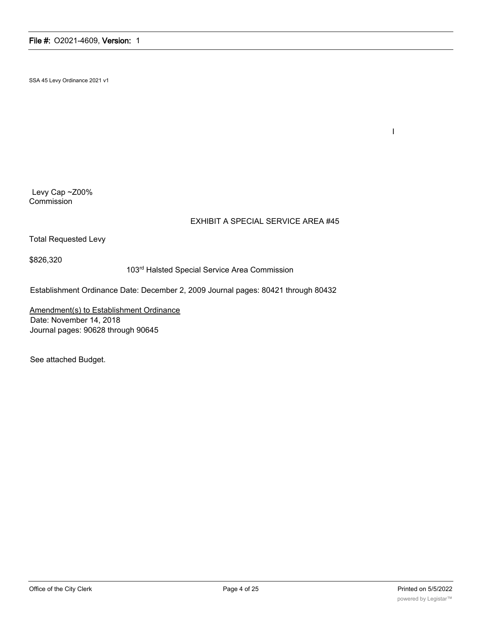SSA 45 Levy Ordinance 2021 v1

Levy Cap ~Z00% **Commission** 

#### EXHIBIT A SPECIAL SERVICE AREA #45

Total Requested Levy

\$826,320

103rd Halsted Special Service Area Commission

Establishment Ordinance Date: December 2, 2009 Journal pages: 80421 through 80432

Amendment(s) to Establishment Ordinance Date: November 14, 2018 Journal pages: 90628 through 90645

See attached Budget.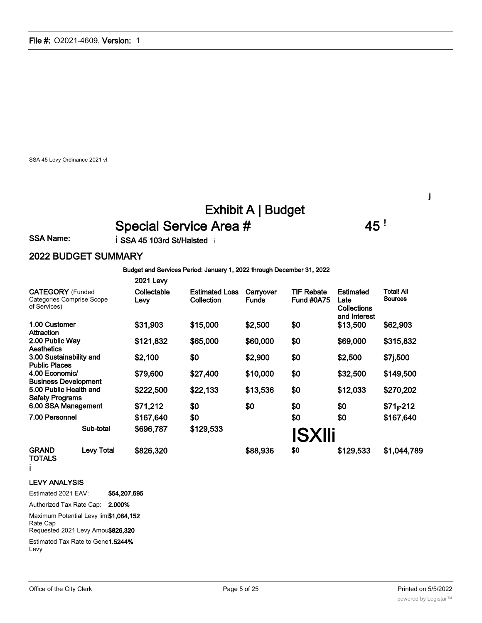SSA 45 Levy Ordinance 2021 vl

# Exhibit A | Budget Special Service Area # 45 !

SSA Name: i SSA 45 103rd St/Halsted i

2021 Levy

#### 2022 BUDGET SUMMARY

Budget and Services Period: January 1, 2022 through December 31, 2022

|                                                                             |                   | 2021 Levy           |                                     |                           |                                        |                                                                |                                     |
|-----------------------------------------------------------------------------|-------------------|---------------------|-------------------------------------|---------------------------|----------------------------------------|----------------------------------------------------------------|-------------------------------------|
| <b>CATEGORY</b> (Funded<br><b>Categories Comprise Scope</b><br>of Services) |                   | Collectable<br>Levy | <b>Estimated Loss</b><br>Collection | Carryover<br><b>Funds</b> | <b>TIF Rebate</b><br><b>Fund #0A75</b> | <b>Estimated</b><br>Late<br><b>Collections</b><br>and Interest | <b>Total! All</b><br><b>Sources</b> |
| 1.00 Customer<br>Attraction                                                 |                   | \$31,903            | \$15,000                            | \$2,500                   | \$0                                    | \$13,500                                                       | \$62,903                            |
| 2.00 Public Way<br>Aesthetics                                               |                   | \$121,832           | \$65,000                            | \$60,000                  | \$0                                    | \$69,000                                                       | \$315,832                           |
| 3.00 Sustainability and<br><b>Public Places</b>                             |                   | \$2,100             | \$0                                 | \$2,900                   | \$0                                    | \$2,500                                                        | \$7j,500                            |
| 4.00 Economic/<br><b>Business Development</b>                               |                   | \$79,600            | \$27,400                            | \$10,000                  | \$0                                    | \$32,500                                                       | \$149,500                           |
| 5.00 Public Health and<br><b>Safety Programs</b>                            |                   | \$222,500           | \$22,133                            | \$13,536                  | \$0                                    | \$12,033                                                       | \$270,202                           |
| 6.00 SSA Management                                                         |                   | \$71,212            | \$0                                 | \$0                       | \$0                                    | \$0                                                            | $$71_{P}212$                        |
| 7.00 Personnel                                                              |                   | \$167,640           | \$0                                 |                           | \$0                                    | \$0                                                            | \$167,640                           |
|                                                                             | Sub-total         | \$696,787           | \$129,533                           |                           | <b>ISXIIi</b>                          |                                                                |                                     |
| <b>GRAND</b><br><b>TOTALS</b>                                               | <b>Levy Total</b> | \$826,320           |                                     | \$88,936                  | \$0                                    | \$129,533                                                      | \$1,044,789                         |

i

#### LEVY ANALYSIS

Estimated 2021 EAV: \$54,207,695

Authorized Tax Rate Cap: 2.000%

Maximum Potential Levy limi\$1,084,152

Rate Cap

Requested 2021 Levy Amou\$826,320

Estimated Tax Rate to Gene1.5244% Levy

j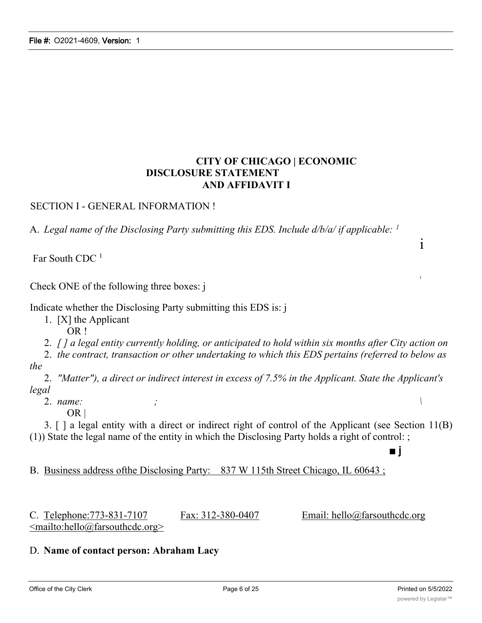### **CITY OF CHICAGO | ECONOMIC DISCLOSURE STATEMENT AND AFFIDAVIT I**

SECTION I - GENERAL INFORMATION !

A. *Legal name of the Disclosing Party submitting this EDS. Include d/b/a/ if applicable: <sup>1</sup>*

Far South CDC<sup>1</sup>

Check ONE of the following three boxes: j

Indicate whether the Disclosing Party submitting this EDS is: j

1. [X] the Applicant

OR !

2. *[ ] a legal entity currently holding, or anticipated to hold within six months after City action on*

2. *the contract, transaction or other undertaking to which this EDS pertains (referred to below as the*

2. *"Matter"), a direct or indirect interest in excess of 7.5% in the Applicant. State the Applicant's legal*

2. *name: ; \*

 $OR \mid$ 

3. [ ] a legal entity with a direct or indirect right of control of the Applicant (see Section 11(B) (1)) State the legal name of the entity in which the Disclosing Party holds a right of control: ;

B. Business address ofthe Disclosing Party: 837 W 115th Street Chicago, IL 60643 ;

C. Telephone:  $773-831-7107$  Fax:  $312-380-0407$  Email: hello@farsouthcdc.org  $\leq$ mailto:hello@farsouthcdc.org>

■ j

#### D. **Name of contact person: Abraham Lacy**

i

i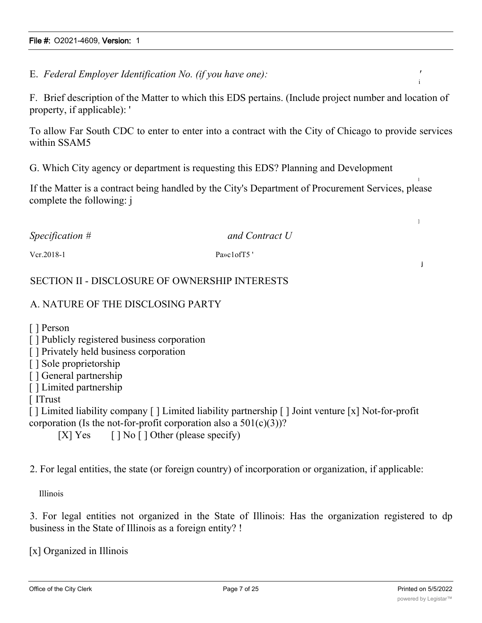E. *Federal Employer Identification No. (if you have one): '*

F. Brief description of the Matter to which this EDS pertains. (Include project number and location of property, if applicable): '

To allow Far South CDC to enter to enter into a contract with the City of Chicago to provide services within SSAM5

G. Which City agency or department is requesting this EDS? Planning and Development

If the Matter is a contract being handled by the City's Department of Procurement Services, please complete the following: j

| $Specification$ # | and Contract U          |
|-------------------|-------------------------|
| $Vcr. 2018-1$     | Pa <sub>»</sub> clofT5' |

#### SECTION II - DISCLOSURE OF OWNERSHIP INTERESTS

#### A. NATURE OF THE DISCLOSING PARTY

[ ] Person

- [] Publicly registered business corporation
- [ ] Privately held business corporation
- [ ] Sole proprietorship
- [ ] General partnership
- [ ] Limited partnership
- [ ITrust

[ ] Limited liability company [ ] Limited liability partnership [ ] Joint venture [x] Not-for-profit corporation (Is the not-for-profit corporation also a  $501(c)(3)$ )?

[X] Yes  $[ ]$  No  $[ ]$  Other (please specify)

2. For legal entities, the state (or foreign country) of incorporation or organization, if applicable:

Illinois

3. For legal entities not organized in the State of Illinois: Has the organization registered to dp business in the State of Illinois as a foreign entity? !

[x] Organized in Illinois

i

l

]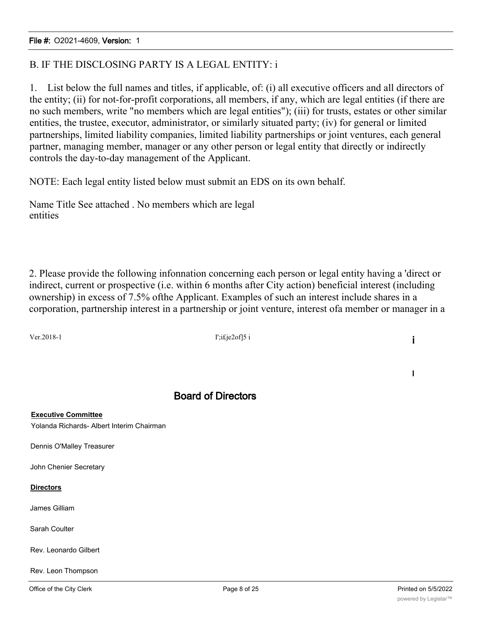### B. IF THE DISCLOSING PARTY IS A LEGAL ENTITY: i

1. List below the full names and titles, if applicable, of: (i) all executive officers and all directors of the entity; (ii) for not-for-profit corporations, all members, if any, which are legal entities (if there are no such members, write "no members which are legal entities"); (iii) for trusts, estates or other similar entities, the trustee, executor, administrator, or similarly situated party; (iv) for general or limited partnerships, limited liability companies, limited liability partnerships or joint ventures, each general partner, managing member, manager or any other person or legal entity that directly or indirectly controls the day-to-day management of the Applicant.

NOTE: Each legal entity listed below must submit an EDS on its own behalf.

Name Title See attached . No members which are legal entities

2. Please provide the following infonnation concerning each person or legal entity having a 'direct or indirect, current or prospective (i.e. within 6 months after City action) beneficial interest (including ownership) in excess of 7.5% ofthe Applicant. Examples of such an interest include shares in a corporation, partnership interest in a partnership or joint venture, interest ofa member or manager in a

Ver.2018-1 **I'**;i£je2of]5 i **i** 

#### Board of Directors

**Executive Committee** Yolanda Richards- Albert Interim Chairman

Dennis O'Malley Treasurer

John Chenier Secretary

#### **Directors**

James Gilliam

Sarah Coulter

Rev. Leonardo Gilbert

Rev. Leon Thompson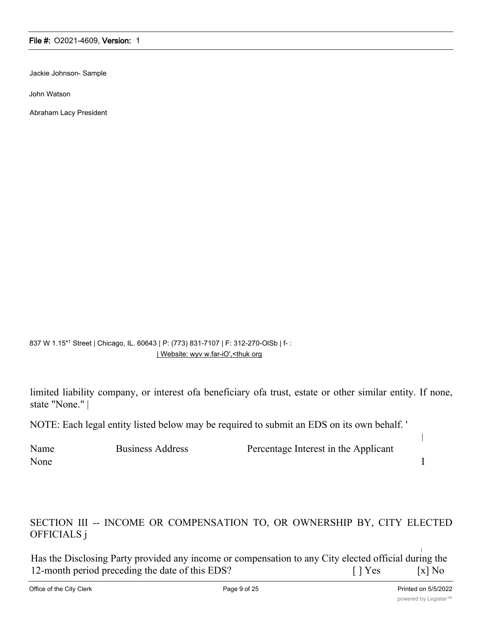Jackie Johnson- Sample

John Watson

Abraham Lacy President

837 W 1.15"1 Street | Chicago, IL. 60643 | P: (773) 831-7107 | F: 312-270-OISb | f- : | Website: wyv w.far-iO',<thuk org

limited liability company, or interest ofa beneficiary ofa trust, estate or other similar entity. If none, state "None." |

NOTE: Each legal entity listed below may be required to submit an EDS on its own behalf. '

| Name | <b>Business Address</b> | Percentage Interest in the Applicant |  |
|------|-------------------------|--------------------------------------|--|
| None |                         |                                      |  |

### SECTION III -- INCOME OR COMPENSATION TO, OR OWNERSHIP BY, CITY ELECTED OFFICIALS j

Has the Disclosing Party provided any income or compensation to any City elected official during the 12-month period preceding the date of this EDS? [ ] Yes [x] No

[

|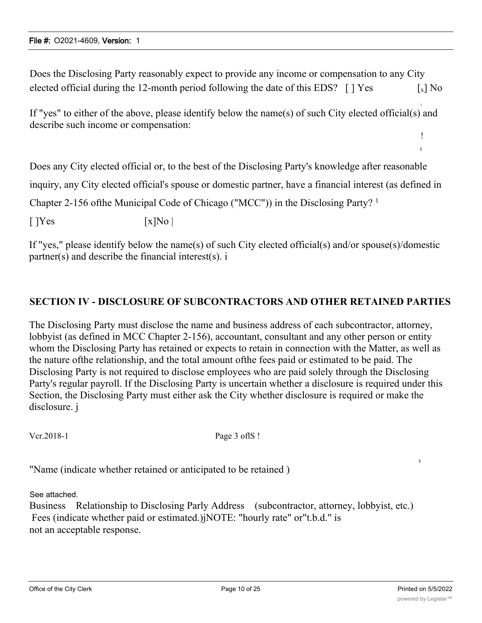Does the Disclosing Party reasonably expect to provide any income or compensation to any City elected official during the 12-month period following the date of this EDS?  $\lceil \cdot \rceil$  Yes  $\lceil x \rceil$  No

If "yes" to either of the above, please identify below the name(s) of such City elected official(s) and describe such income or compensation:

Does any City elected official or, to the best of the Disclosing Party's knowledge after reasonable

inquiry, any City elected official's spouse or domestic partner, have a financial interest (as defined in

Chapter 2-156 ofthe Municipal Code of Chicago ("MCC")) in the Disclosing Party? <sup>1</sup>

 $[$   $]$   $\text{Yes}$   $[x]$   $\text{No}$   $]$ 

If "yes," please identify below the name(s) of such City elected official(s) and/or spouse(s)/domestic partner(s) and describe the financial interest(s). i

#### **SECTION IV - DISCLOSURE OF SUBCONTRACTORS AND OTHER RETAINED PARTIES**

The Disclosing Party must disclose the name and business address of each subcontractor, attorney, lobbyist (as defined in MCC Chapter 2-156), accountant, consultant and any other person or entity whom the Disclosing Party has retained or expects to retain in connection with the Matter, as well as the nature ofthe relationship, and the total amount ofthe fees paid or estimated to be paid. The Disclosing Party is not required to disclose employees who are paid solely through the Disclosing Party's regular payroll. If the Disclosing Party is uncertain whether a disclosure is required under this Section, the Disclosing Party must either ask the City whether disclosure is required or make the disclosure. j

Vcr.2018-1 Page 3 of IS !

"Name (indicate whether retained or anticipated to be retained )

See attached.

Business Relationship to Disclosing Parly Address (subcontractor, attorney, lobbyist, etc.) Fees (indicate whether paid or estimated.)jNOTE: "hourly rate" or"t.b.d." is not an acceptable response.

i

i

! i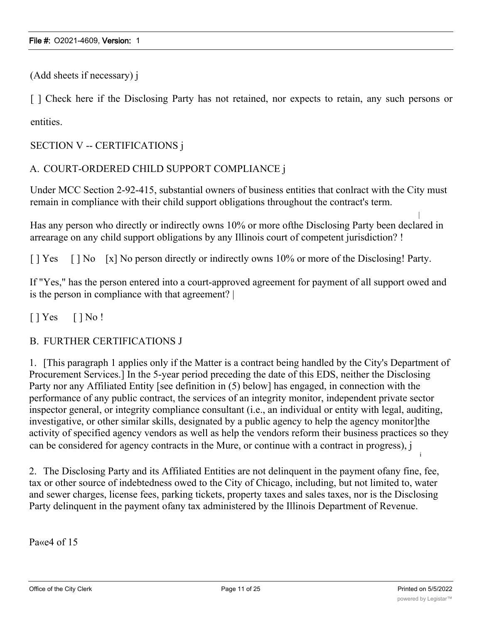(Add sheets if necessary) j

[ ] Check here if the Disclosing Party has not retained, nor expects to retain, any such persons or entities.

SECTION V -- CERTIFICATIONS j

#### A. COURT-ORDERED CHILD SUPPORT COMPLIANCE j

Under MCC Section 2-92-415, substantial owners of business entities that conlract with the City must remain in compliance with their child support obligations throughout the contract's term.

Has any person who directly or indirectly owns 10% or more ofthe Disclosing Party been declared in arrearage on any child support obligations by any Illinois court of competent jurisdiction? !

[ ] Yes [ ] No [x] No person directly or indirectly owns 10% or more of the Disclosing! Party.

If "Yes," has the person entered into a court-approved agreement for payment of all support owed and is the person in compliance with that agreement? |

 $[$  | Yes  $[$  | No !

#### B. FURTHER CERTIFICATIONS J

1. [This paragraph 1 applies only if the Matter is a contract being handled by the City's Department of Procurement Services.] In the 5-year period preceding the date of this EDS, neither the Disclosing Party nor any Affiliated Entity [see definition in (5) below] has engaged, in connection with the performance of any public contract, the services of an integrity monitor, independent private sector inspector general, or integrity compliance consultant (i.e., an individual or entity with legal, auditing, investigative, or other similar skills, designated by a public agency to help the agency monitor]the activity of specified agency vendors as well as help the vendors reform their business practices so they can be considered for agency contracts in the Mure, or continue with a contract in progress), j

2. The Disclosing Party and its Affiliated Entities are not delinquent in the payment ofany fine, fee, tax or other source of indebtedness owed to the City of Chicago, including, but not limited to, water and sewer charges, license fees, parking tickets, property taxes and sales taxes, nor is the Disclosing Party delinquent in the payment ofany tax administered by the Illinois Department of Revenue.

Pa<sub>«e4</sub> of 15

i

|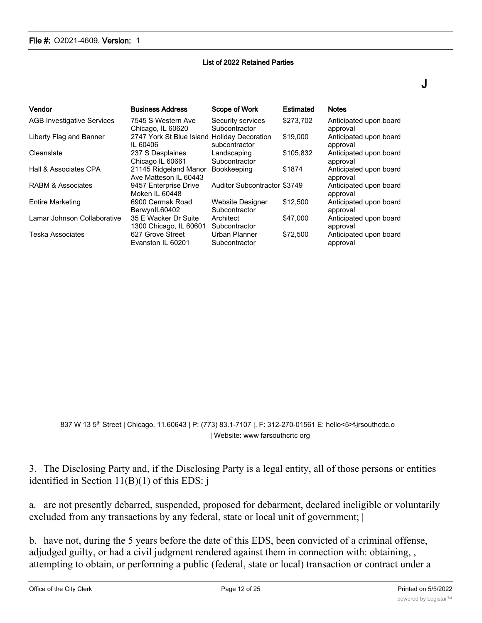#### List of 2022 Retained Parties

| Vendor                            | <b>Business Address</b>                                 | Scope of Work                       | Estimated | <b>Notes</b>                       |
|-----------------------------------|---------------------------------------------------------|-------------------------------------|-----------|------------------------------------|
| <b>AGB Investigative Services</b> | 7545 S Western Ave<br>Chicago, IL 60620                 | Security services<br>Subcontractor  | \$273.702 | Anticipated upon board<br>approval |
| Liberty Flag and Banner           | 2747 York St Blue Island Holiday Decoration<br>IL 60406 | subcontractor                       | \$19,000  | Anticipated upon board<br>approval |
| Cleanslate                        | 237 S Desplaines<br>Chicago IL 60661                    | Landscaping<br>Subcontractor        | \$105,832 | Anticipated upon board<br>approval |
| Hall & Associates CPA             | 21145 Ridgeland Manor<br>Ave Matteson IL 60443          | <b>Bookkeeping</b>                  | \$1874    | Anticipated upon board<br>approval |
| RABM & Associates                 | 9457 Enterprise Drive<br>Moken IL 60448                 | <b>Auditor Subcontractor \$3749</b> |           | Anticipated upon board<br>approval |
| <b>Entire Marketing</b>           | 6900 Cermak Road<br>BerwynIL60402                       | Website Designer<br>Subcontractor   | \$12,500  | Anticipated upon board<br>approval |
| Lamar Johnson Collaborative       | 35 E Wacker Dr Suite<br>1300 Chicago, IL 60601          | Architect<br>Subcontractor          | \$47,000  | Anticipated upon board<br>approval |
| Teska Associates                  | 627 Grove Street<br>Evanston IL 60201                   | Urban Planner<br>Subcontractor      | \$72,500  | Anticipated upon board<br>approval |

837 W 13 5<sup>th</sup> Street | Chicago, 11.60643 | P: (773) 83.1-7107 |. F: 312-270-01561 E: hello<5>f<sub>t</sub>irsouthcdc.o | Website: www farsouthcrtc org

3. The Disclosing Party and, if the Disclosing Party is a legal entity, all of those persons or entities identified in Section 11(B)(1) of this EDS: j

a. are not presently debarred, suspended, proposed for debarment, declared ineligible or voluntarily excluded from any transactions by any federal, state or local unit of government;  $|$ 

b. have not, during the 5 years before the date of this EDS, been convicted of a criminal offense, adjudged guilty, or had a civil judgment rendered against them in connection with: obtaining, , attempting to obtain, or performing a public (federal, state or local) transaction or contract under a

J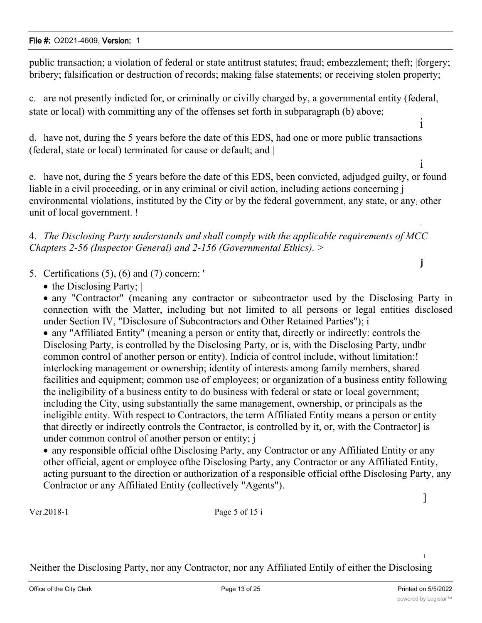public transaction; a violation of federal or state antitrust statutes; fraud; embezzlement; theft; |forgery; bribery; falsification or destruction of records; making false statements; or receiving stolen property;

c. are not presently indicted for, or criminally or civilly charged by, a governmental entity (federal, state or local) with committing any of the offenses set forth in subparagraph (b) above;

d. have not, during the 5 years before the date of this EDS, had one or more public transactions (federal, state or local) terminated for cause or default; and |

e. have not, during the 5 years before the date of this EDS, been convicted, adjudged guilty, or found liable in a civil proceeding, or in any criminal or civil action, including actions concerning j environmental violations, instituted by the City or by the federal government, any state, or any: other unit of local government. !

4. *The Disclosing Party understands and shall comply with the applicable requirements of MCC Chapters 2-56 (Inspector General) and 2-156 (Governmental Ethics). >*

5. Certifications (5), (6) and (7) concern: '

• the Disclosing Party;

· any "Contractor" (meaning any contractor or subcontractor used by the Disclosing Party in connection with the Matter, including but not limited to all persons or legal entities disclosed under Section IV, "Disclosure of Subcontractors and Other Retained Parties"); i

· any "Affiliated Entity" (meaning a person or entity that, directly or indirectly: controls the Disclosing Party, is controlled by the Disclosing Party, or is, with the Disclosing Party, undbr common control of another person or entity). Indicia of control include, without limitation:! interlocking management or ownership; identity of interests among family members, shared facilities and equipment; common use of employees; or organization of a business entity following the ineligibility of a business entity to do business with federal or state or local government; including the City, using substantially the same management, ownership, or principals as the ineligible entity. With respect to Contractors, the term Affiliated Entity means a person or entity that directly or indirectly controls the Contractor, is controlled by it, or, with the Contractor] is under common control of another person or entity; j

· any responsible official ofthe Disclosing Party, any Contractor or any Affiliated Entity or any other official, agent or employee ofthe Disclosing Party, any Contractor or any Affiliated Entity, acting pursuant to the direction or authorization of a responsible official ofthe Disclosing Party, any Conlractor or any Affiliated Entity (collectively "Agents").

Ver.2018-1 Page 5 of 15 i

Neither the Disclosing Party, nor any Contractor, nor any Affiliated Entily of either the Disclosing

i

]

i

i

i

j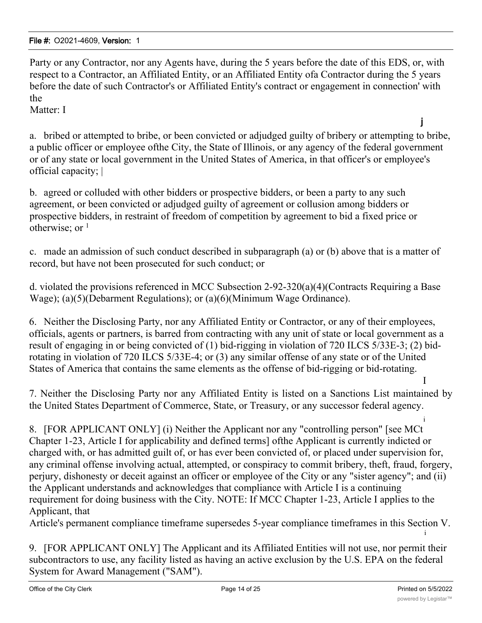Party or any Contractor, nor any Agents have, during the 5 years before the date of this EDS, or, with respect to a Contractor, an Affiliated Entity, or an Affiliated Entity ofa Contractor during the 5 years before the date of such Contractor's or Affiliated Entity's contract or engagement in connection' with the

Matter: I

a. bribed or attempted to bribe, or been convicted or adjudged guilty of bribery or attempting to bribe, a public officer or employee ofthe City, the State of Illinois, or any agency of the federal government or of any state or local government in the United States of America, in that officer's or employee's official capacity; |

b. agreed or colluded with other bidders or prospective bidders, or been a party to any such agreement, or been convicted or adjudged guilty of agreement or collusion among bidders or prospective bidders, in restraint of freedom of competition by agreement to bid a fixed price or otherwise; or  $<sup>1</sup>$ </sup>

c. made an admission of such conduct described in subparagraph (a) or (b) above that is a matter of record, but have not been prosecuted for such conduct; or

d. violated the provisions referenced in MCC Subsection 2-92-320(a)(4)(Contracts Requiring a Base Wage); (a)(5)(Debarment Regulations); or (a)(6)(Minimum Wage Ordinance).

6. Neither the Disclosing Party, nor any Affiliated Entity or Contractor, or any of their employees, officials, agents or partners, is barred from contracting with any unit of state or local government as a result of engaging in or being convicted of (1) bid-rigging in violation of 720 ILCS 5/33E-3; (2) bidrotating in violation of 720 ILCS 5/33E-4; or (3) any similar offense of any state or of the United States of America that contains the same elements as the offense of bid-rigging or bid-rotating.

7. Neither the Disclosing Party nor any Affiliated Entity is listed on a Sanctions List maintained by the United States Department of Commerce, State, or Treasury, or any successor federal agency.

i 8. [FOR APPLICANT ONLY] (i) Neither the Applicant nor any "controlling person" [see MCt Chapter 1-23, Article I for applicability and defined terms] ofthe Applicant is currently indicted or charged with, or has admitted guilt of, or has ever been convicted of, or placed under supervision for, any criminal offense involving actual, attempted, or conspiracy to commit bribery, theft, fraud, forgery, perjury, dishonesty or deceit against an officer or employee of the City or any "sister agency"; and (ii) the Applicant understands and acknowledges that compliance with Article I is a continuing requirement for doing business with the City. NOTE: If MCC Chapter 1-23, Article I applies to the Applicant, that

Article's permanent compliance timeframe supersedes 5-year compliance timeframes in this Section V.

9. [FOR APPLICANT ONLY] The Applicant and its Affiliated Entities will not use, nor permit their subcontractors to use, any facility listed as having an active exclusion by the U.S. EPA on the federal System for Award Management ("SAM").

i

I

j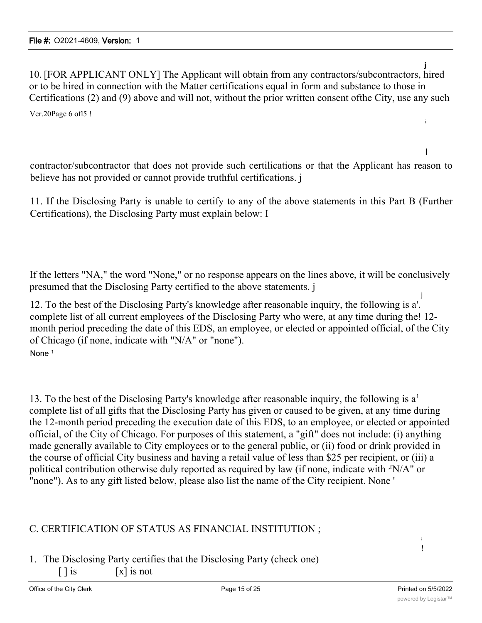j 10. [FOR APPLICANT ONLY] The Applicant will obtain from any contractors/subcontractors, hired or to be hired in connection with the Matter certifications equal in form and substance to those in Certifications (2) and (9) above and will not, without the prior written consent ofthe City, use any such

Ver.20Page 6 ofl5 !

contractor/subcontractor that does not provide such certilications or that the Applicant has reason to believe has not provided or cannot provide truthful certifications. j

11. If the Disclosing Party is unable to certify to any of the above statements in this Part B (Further Certifications), the Disclosing Party must explain below: I

If the letters "NA," the word "None," or no response appears on the lines above, it will be conclusively presumed that the Disclosing Party certified to the above statements. j

12. To the best of the Disclosing Party's knowledge after reasonable inquiry, the following is a'. complete list of all current employees of the Disclosing Party who were, at any time during the! 12 month period preceding the date of this EDS, an employee, or elected or appointed official, of the City of Chicago (if none, indicate with "N/A" or "none"). None<sup>1</sup>

13. To the best of the Disclosing Party's knowledge after reasonable inquiry, the following is  $a<sup>1</sup>$ complete list of all gifts that the Disclosing Party has given or caused to be given, at any time during the 12-month period preceding the execution date of this EDS, to an employee, or elected or appointed official, of the City of Chicago. For purposes of this statement, a "gift" does not include: (i) anything made generally available to City employees or to the general public, or (ii) food or drink provided in the course of official City business and having a retail value of less than \$25 per recipient, or (iii) a political contribution otherwise duly reported as required by law (if none, indicate with  $\cdot$ N/A" or "none"). As to any gift listed below, please also list the name of the City recipient. None '

### C. CERTIFICATION OF STATUS AS FINANCIAL INSTITUTION ;

1. The Disclosing Party certifies that the Disclosing Party (check one)  $\begin{bmatrix} \end{bmatrix}$  is not

i !

i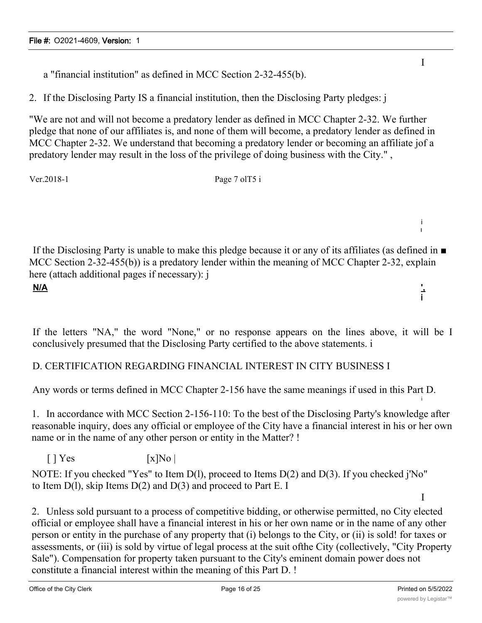a "financial institution" as defined in MCC Section 2-32-455(b).

2. If the Disclosing Party IS a financial institution, then the Disclosing Party pledges: j

"We are not and will not become a predatory lender as defined in MCC Chapter 2-32. We further pledge that none of our affiliates is, and none of them will become, a predatory lender as defined in MCC Chapter 2-32. We understand that becoming a predatory lender or becoming an affiliate jof a predatory lender may result in the loss of the privilege of doing business with the City." ,

Ver.2018-1 Page 7 ol T5 i

If the Disclosing Party is unable to make this pledge because it or any of its affiliates (as defined in ■ MCC Section 2-32-455(b)) is a predatory lender within the meaning of MCC Chapter 2-32, explain here (attach additional pages if necessary): j **N/A ',** i

If the letters "NA," the word "None," or no response appears on the lines above, it will be I conclusively presumed that the Disclosing Party certified to the above statements. i

### D. CERTIFICATION REGARDING FINANCIAL INTEREST IN CITY BUSINESS I

Any words or terms defined in MCC Chapter 2-156 have the same meanings if used in this Part D.

1. In accordance with MCC Section 2-156-110: To the best of the Disclosing Party's knowledge after reasonable inquiry, does any official or employee of the City have a financial interest in his or her own name or in the name of any other person or entity in the Matter? !

 $\lceil$  | Yes  $\lceil$  | X|No |

NOTE: If you checked "Yes" to Item D(l), proceed to Items D(2) and D(3). If you checked j'No" to Item  $D(1)$ , skip Items  $D(2)$  and  $D(3)$  and proceed to Part E. I

2. Unless sold pursuant to a process of competitive bidding, or otherwise permitted, no City elected official or employee shall have a financial interest in his or her own name or in the name of any other person or entity in the purchase of any property that (i) belongs to the City, or (ii) is sold! for taxes or assessments, or (iii) is sold by virtue of legal process at the suit ofthe City (collectively, "City Property Sale"). Compensation for property taken pursuant to the City's eminent domain power does not constitute a financial interest within the meaning of this Part D. !

I

i I

i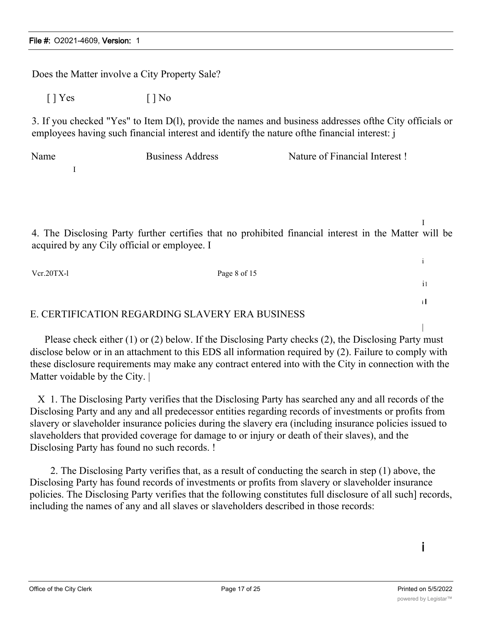Does the Matter involve a City Property Sale?  $[$  | Yes  $[$  | No 3. If you checked "Yes" to Item D(l), provide the names and business addresses ofthe City officials or employees having such financial interest and identify the nature ofthe financial interest: j Name Business Address Nature of Financial Interest ! I I 4. The Disclosing Party further certifies that no prohibited financial interest in the Matter will be acquired by any Cily official or employee. I i Vcr.20TX-l Page 8 of 15 il i I E. CERTIFICATION REGARDING SLAVERY ERA BUSINESS |

Please check either (1) or (2) below. If the Disclosing Party checks (2), the Disclosing Party must disclose below or in an attachment to this EDS all information required by (2). Failure to comply with these disclosure requirements may make any contract entered into with the City in connection with the Matter voidable by the City.

X 1. The Disclosing Party verifies that the Disclosing Party has searched any and all records of the Disclosing Party and any and all predecessor entities regarding records of investments or profits from slavery or slaveholder insurance policies during the slavery era (including insurance policies issued to slaveholders that provided coverage for damage to or injury or death of their slaves), and the Disclosing Party has found no such records. !

2. The Disclosing Party verifies that, as a result of conducting the search in step (1) above, the Disclosing Party has found records of investments or profits from slavery or slaveholder insurance policies. The Disclosing Party verifies that the following constitutes full disclosure of all such] records, including the names of any and all slaves or slaveholders described in those records:

i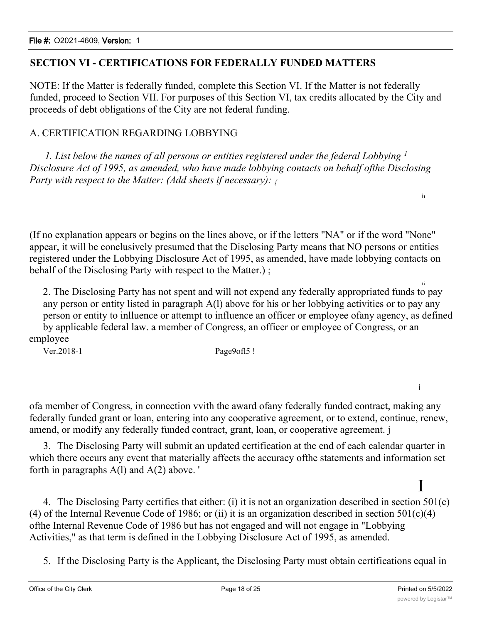### **SECTION VI - CERTIFICATIONS FOR FEDERALLY FUNDED MATTERS**

NOTE: If the Matter is federally funded, complete this Section VI. If the Matter is not federally funded, proceed to Section VII. For purposes of this Section VI, tax credits allocated by the City and proceeds of debt obligations of the City are not federal funding.

#### A. CERTIFICATION REGARDING LOBBYING

*1. List below the names of all persons or entities registered under the federal Lobbying <sup>1</sup> Disclosure Act of 1995, as amended, who have made lobbying contacts on behalf ofthe Disclosing Party with respect to the Matter: (Add sheets if necessary): {*

(If no explanation appears or begins on the lines above, or if the letters "NA" or if the word "None" appear, it will be conclusively presumed that the Disclosing Party means that NO persons or entities registered under the Lobbying Disclosure Act of 1995, as amended, have made lobbying contacts on behalf of the Disclosing Party with respect to the Matter.);

2. The Disclosing Party has not spent and will not expend any federally appropriated funds to pay any person or entity listed in paragraph A(l) above for his or her lobbying activities or to pay any person or entity to inlluence or attempt to influence an officer or employee ofany agency, as defined by applicable federal law. a member of Congress, an officer or employee of Congress, or an employee

Ver.2018-1 Page9ofl5 !

ofa member of Congress, in connection vvith the award ofany federally funded contract, making any federally funded grant or loan, entering into any cooperative agreement, or to extend, continue, renew, amend, or modify any federally funded contract, grant, loan, or cooperative agreement. j

3. The Disclosing Party will submit an updated certification at the end of each calendar quarter in which there occurs any event that materially affects the accuracy ofthe statements and information set forth in paragraphs A(l) and A(2) above. '

# I

i

ii

i i

4. The Disclosing Party certifies that either: (i) it is not an organization described in section 501(c) (4) of the Internal Revenue Code of 1986; or (ii) it is an organization described in section  $501(c)(4)$ ofthe Internal Revenue Code of 1986 but has not engaged and will not engage in "Lobbying Activities," as that term is defined in the Lobbying Disclosure Act of 1995, as amended.

5. If the Disclosing Party is the Applicant, the Disclosing Party must obtain certifications equal in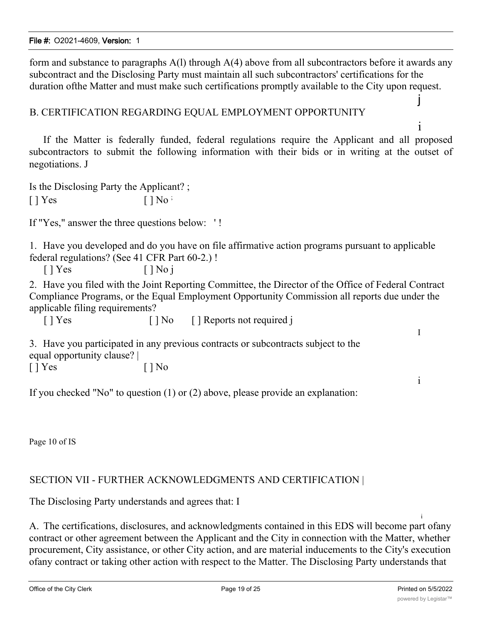form and substance to paragraphs A(l) through A(4) above from all subcontractors before it awards any subcontract and the Disclosing Party must maintain all such subcontractors' certifications for the duration ofthe Matter and must make such certifications promptly available to the City upon request.

#### B. CERTIFICATION REGARDING EQUAL EMPLOYMENT OPPORTUNITY

If the Matter is federally funded, federal regulations require the Applicant and all proposed subcontractors to submit the following information with their bids or in writing at the outset of negotiations. J

Is the Disclosing Party the Applicant? ;  $[$  | Yes  $[$  | No  $\cdot$ 

If "Yes," answer the three questions below: ' !

1. Have you developed and do you have on file affirmative action programs pursuant to applicable federal regulations? (See 41 CFR Part 60-2.) !

 $[ ]$  Yes  $[ ]$  No j

2. Have you filed with the Joint Reporting Committee, the Director of the Office of Federal Contract Compliance Programs, or the Equal Employment Opportunity Commission all reports due under the applicable filing requirements?

[ ] Yes [ ] No [ ] Reports not required j

3. Have you participated in any previous contracts or subcontracts subject to the equal opportunity clause? |

 $[$  | Yes  $[$  | No

If you checked "No" to question (1) or (2) above, please provide an explanation:

Page 10 of IS

### SECTION VII - FURTHER ACKNOWLEDGMENTS AND CERTIFICATION |

The Disclosing Party understands and agrees that: I

i A. The certifications, disclosures, and acknowledgments contained in this EDS will become part ofany contract or other agreement between the Applicant and the City in connection with the Matter, whether procurement, City assistance, or other City action, and are material inducements to the City's execution ofany contract or taking other action with respect to the Matter. The Disclosing Party understands that

j

i

I

i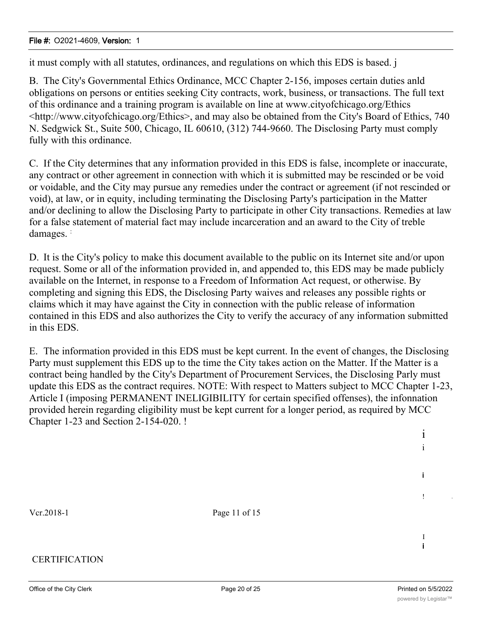it must comply with all statutes, ordinances, and regulations on which this EDS is based. j

B. The City's Governmental Ethics Ordinance, MCC Chapter 2-156, imposes certain duties anld obligations on persons or entities seeking City contracts, work, business, or transactions. The full text of this ordinance and a training program is available on line at www.cityofchicago.org/Ethics <http://www.cityofchicago.org/Ethics>, and may also be obtained from the City's Board of Ethics, 740 N. Sedgwick St., Suite 500, Chicago, IL 60610, (312) 744-9660. The Disclosing Party must comply fully with this ordinance.

C. If the City determines that any information provided in this EDS is false, incomplete or inaccurate, any contract or other agreement in connection with which it is submitted may be rescinded or be void or voidable, and the City may pursue any remedies under the contract or agreement (if not rescinded or void), at law, or in equity, including terminating the Disclosing Party's participation in the Matter and/or declining to allow the Disclosing Party to participate in other City transactions. Remedies at law for a false statement of material fact may include incarceration and an award to the City of treble damages. :

D. It is the City's policy to make this document available to the public on its Internet site and/or upon request. Some or all of the information provided in, and appended to, this EDS may be made publicly available on the Internet, in response to a Freedom of Information Act request, or otherwise. By completing and signing this EDS, the Disclosing Party waives and releases any possible rights or claims which it may have against the City in connection with the public release of information contained in this EDS and also authorizes the City to verify the accuracy of any information submitted in this EDS.

E. The information provided in this EDS must be kept current. In the event of changes, the Disclosing Party must supplement this EDS up to the time the City takes action on the Matter. If the Matter is a contract being handled by the City's Department of Procurement Services, the Disclosing Parly must update this EDS as the contract requires. NOTE: With respect to Matters subject to MCC Chapter 1-23, Article I (imposing PERMANENT INELIGIBILITY for certain specified offenses), the infonnation provided herein regarding eligibility must be kept current for a longer period, as required by MCC Chapter 1-23 and Section 2-154-020. !

Vcr.2018-1 Page 11 of 15

#### CERTIFICATION

I i

i i

i

! is a set of the set of the set of the set of the set of the set of the set of the set of the set of the set <br>In the set of the set of the set of the set of the set of the set of the set of the set of the set of the set o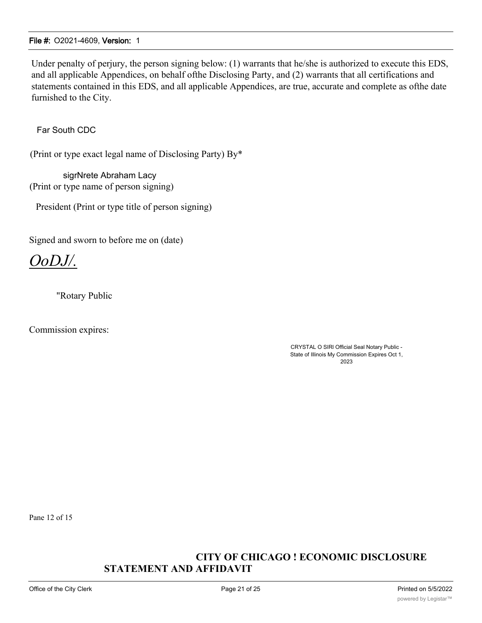Under penalty of perjury, the person signing below: (1) warrants that he/she is authorized to execute this EDS, and all applicable Appendices, on behalf ofthe Disclosing Party, and (2) warrants that all certifications and statements contained in this EDS, and all applicable Appendices, are true, accurate and complete as ofthe date furnished to the City.

Far South CDC

(Print or type exact legal name of Disclosing Party) By\*

sigrNrete Abraham Lacy (Print or type name of person signing)

President (Print or type title of person signing)

Signed and sworn to before me on (date)

*OoDJ/.*

"Rotary Public

Commission expires:

CRYSTAL O SIRl Official Seal Notary Public - State of Illinois My Commission Expires Oct 1, 2023

Pane 12 of 15

#### **CITY OF CHICAGO ! ECONOMIC DISCLOSURE STATEMENT AND AFFIDAVIT**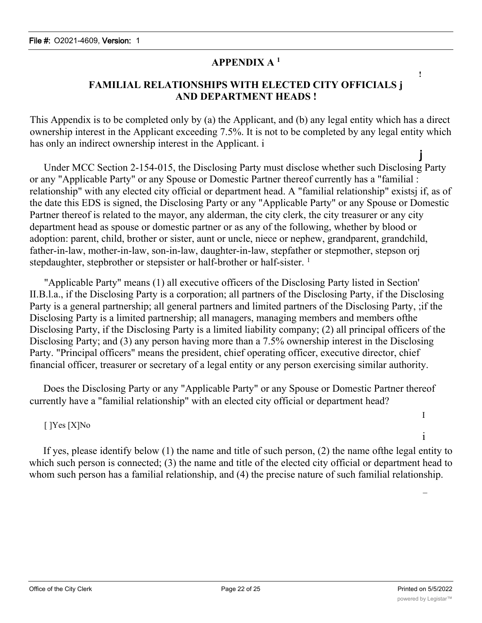# **APPENDIX A <sup>1</sup>**

## **FAMILIAL RELATIONSHIPS WITH ELECTED CITY OFFICIALS j AND DEPARTMENT HEADS !**

This Appendix is to be completed only by (a) the Applicant, and (b) any legal entity which has a direct ownership interest in the Applicant exceeding 7.5%. It is not to be completed by any legal entity which has only an indirect ownership interest in the Applicant. i

j Under MCC Section 2-154-015, the Disclosing Party must disclose whether such Disclosing Party or any "Applicable Party" or any Spouse or Domestic Partner thereof currently has a "familial : relationship" with any elected city official or department head. A "familial relationship" existsj if, as of the date this EDS is signed, the Disclosing Party or any "Applicable Party" or any Spouse or Domestic Partner thereof is related to the mayor, any alderman, the city clerk, the city treasurer or any city department head as spouse or domestic partner or as any of the following, whether by blood or adoption: parent, child, brother or sister, aunt or uncle, niece or nephew, grandparent, grandchild, father-in-law, mother-in-law, son-in-law, daughter-in-law, stepfather or stepmother, stepson orj stepdaughter, stepbrother or stepsister or half-brother or half-sister.<sup>1</sup>

"Applicable Party" means (1) all executive officers of the Disclosing Party listed in Section' II.B.l.a., if the Disclosing Party is a corporation; all partners of the Disclosing Party, if the Disclosing Party is a general partnership; all general partners and limited partners of the Disclosing Party, ;if the Disclosing Party is a limited partnership; all managers, managing members and members ofthe Disclosing Party, if the Disclosing Party is a limited liability company; (2) all principal officers of the Disclosing Party; and (3) any person having more than a 7.5% ownership interest in the Disclosing Party. "Principal officers" means the president, chief operating officer, executive director, chief financial officer, treasurer or secretary of a legal entity or any person exercising similar authority.

Does the Disclosing Party or any "Applicable Party" or any Spouse or Domestic Partner thereof currently have a "familial relationship" with an elected city official or department head?

### [ ]Yes [X]No

If yes, please identify below (1) the name and title of such person, (2) the name ofthe legal entity to which such person is connected; (3) the name and title of the elected city official or department head to whom such person has a familial relationship, and (4) the precise nature of such familial relationship.

I

i

 $\mathcal{L}(\mathcal{L})$ 

**!**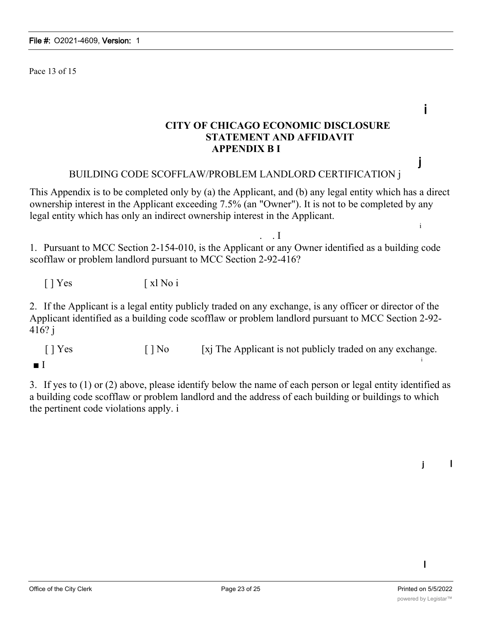Pace 13 of 15

**CITY OF CHICAGO ECONOMIC DISCLOSURE STATEMENT AND AFFIDAVIT APPENDIX B I**

#### BUILDING CODE SCOFFLAW/PROBLEM LANDLORD CERTIFICATION j

This Appendix is to be completed only by (a) the Applicant, and (b) any legal entity which has a direct ownership interest in the Applicant exceeding 7.5% (an "Owner"). It is not to be completed by any legal entity which has only an indirect ownership interest in the Applicant.

. . I 1. Pursuant to MCC Section 2-154-010, is the Applicant or any Owner identified as a building code scofflaw or problem landlord pursuant to MCC Section 2-92-416?

[ ] Yes [ xl No i

2. If the Applicant is a legal entity publicly traded on any exchange, is any officer or director of the Applicant identified as a building code scofflaw or problem landlord pursuant to MCC Section 2-92- 416? j

 $[ ]$  Yes  $[ ]$  No  $[ x ]$  The Applicant is not publicly traded on any exchange. i

3. If yes to (1) or (2) above, please identify below the name of each person or legal entity identified as a building code scofflaw or problem landlord and the address of each building or buildings to which the pertinent code violations apply. i

I

j I

i

j

i

<sup>■</sup> I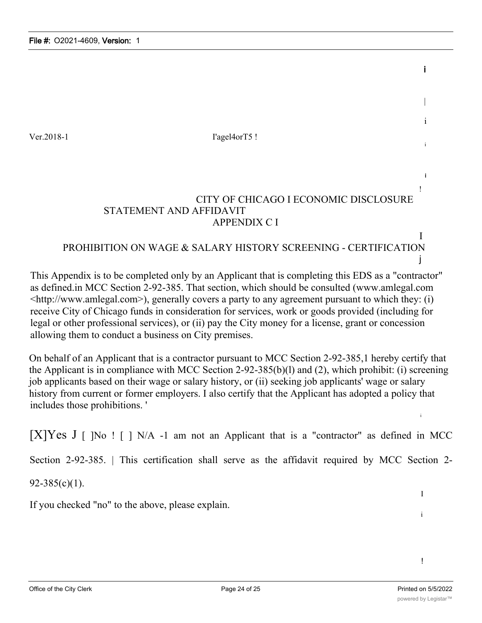Ver.2018-1 I'agel4orT5 !

# CITY OF CHICAGO I ECONOMIC DISCLOSURE STATEMENT AND AFFIDAVIT APPENDIX C I

# PROHIBITION ON WAGE & SALARY HISTORY SCREENING - CERTIFICATION j

This Appendix is to be completed only by an Applicant that is completing this EDS as a "contractor" as defined.in MCC Section 2-92-385. That section, which should be consulted (www.amlegal.com  $\lt$ http://www.amlegal.com>), generally covers a party to any agreement pursuant to which they: (i) receive City of Chicago funds in consideration for services, work or goods provided (including for legal or other professional services), or (ii) pay the City money for a license, grant or concession allowing them to conduct a business on City premises.

On behalf of an Applicant that is a contractor pursuant to MCC Section 2-92-385,1 hereby certify that the Applicant is in compliance with MCC Section 2-92-385(b)(l) and (2), which prohibit: (i) screening job applicants based on their wage or salary history, or (ii) seeking job applicants' wage or salary history from current or former employers. I also certify that the Applicant has adopted a policy that includes those prohibitions. '

 $[X]Yes J [ N]$  !  $[N/A -1$  am not an Applicant that is a "contractor" as defined in MCC

Section 2-92-385. | This certification shall serve as the affidavit required by MCC Section 2-

92-385(c)(1).

If you checked "no" to the above, please explain.

!

I

i

i

i

|

i

i

i !